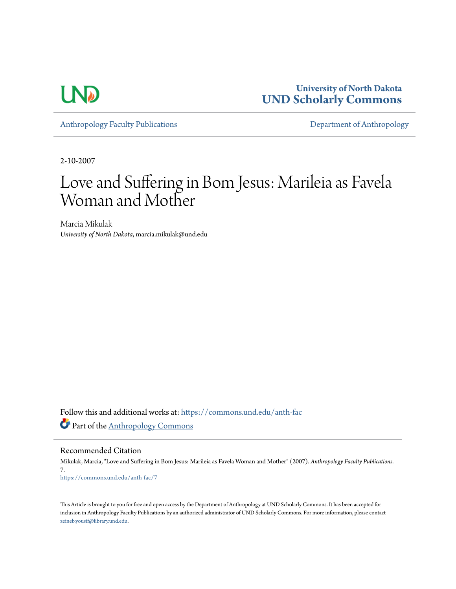

**University of North Dakota [UND Scholarly Commons](https://commons.und.edu?utm_source=commons.und.edu%2Fanth-fac%2F7&utm_medium=PDF&utm_campaign=PDFCoverPages)**

[Anthropology Faculty Publications](https://commons.und.edu/anth-fac?utm_source=commons.und.edu%2Fanth-fac%2F7&utm_medium=PDF&utm_campaign=PDFCoverPages) **[Department of Anthropology](https://commons.und.edu/anth?utm_source=commons.und.edu%2Fanth-fac%2F7&utm_medium=PDF&utm_campaign=PDFCoverPages)** 

2-10-2007

# Love and Suffering in Bom Jesus: Marileia as Favela Woman and Mother

Marcia Mikulak *University of North Dakota*, marcia.mikulak@und.edu

Follow this and additional works at: [https://commons.und.edu/anth-fac](https://commons.und.edu/anth-fac?utm_source=commons.und.edu%2Fanth-fac%2F7&utm_medium=PDF&utm_campaign=PDFCoverPages) Part of the [Anthropology Commons](http://network.bepress.com/hgg/discipline/318?utm_source=commons.und.edu%2Fanth-fac%2F7&utm_medium=PDF&utm_campaign=PDFCoverPages)

Recommended Citation

Mikulak, Marcia, "Love and Suffering in Bom Jesus: Marileia as Favela Woman and Mother" (2007). *Anthropology Faculty Publications*. 7. [https://commons.und.edu/anth-fac/7](https://commons.und.edu/anth-fac/7?utm_source=commons.und.edu%2Fanth-fac%2F7&utm_medium=PDF&utm_campaign=PDFCoverPages)

This Article is brought to you for free and open access by the Department of Anthropology at UND Scholarly Commons. It has been accepted for inclusion in Anthropology Faculty Publications by an authorized administrator of UND Scholarly Commons. For more information, please contact [zeineb.yousif@library.und.edu](mailto:zeineb.yousif@library.und.edu).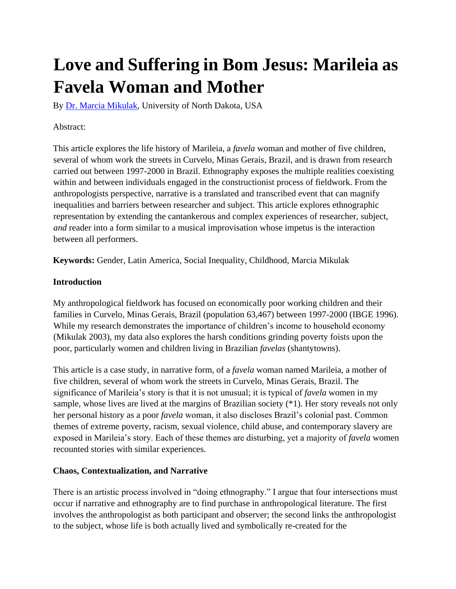# **Love and Suffering in Bom Jesus: Marileia as Favela Woman and Mother**

By [Dr. Marcia Mikulak,](http://www.jatsbulgaria.org/show.php?type=author&id=17) University of North Dakota, USA

## Abstract:

This article explores the life history of Marileia, a *favela* woman and mother of five children, several of whom work the streets in Curvelo, Minas Gerais, Brazil, and is drawn from research carried out between 1997-2000 in Brazil. Ethnography exposes the multiple realities coexisting within and between individuals engaged in the constructionist process of fieldwork. From the anthropologists perspective, narrative is a translated and transcribed event that can magnify inequalities and barriers between researcher and subject. This article explores ethnographic representation by extending the cantankerous and complex experiences of researcher, subject, *and* reader into a form similar to a musical improvisation whose impetus is the interaction between all performers.

**Keywords:** Gender, Latin America, Social Inequality, Childhood, Marcia Mikulak

## **Introduction**

My anthropological fieldwork has focused on economically poor working children and their families in Curvelo, Minas Gerais, Brazil (population 63,467) between 1997-2000 (IBGE 1996). While my research demonstrates the importance of children's income to household economy (Mikulak 2003), my data also explores the harsh conditions grinding poverty foists upon the poor, particularly women and children living in Brazilian *favelas* (shantytowns).

This article is a case study, in narrative form, of a *favela* woman named Marileia, a mother of five children, several of whom work the streets in Curvelo, Minas Gerais, Brazil. The significance of Marileia's story is that it is not unusual; it is typical of *favela* women in my sample, whose lives are lived at the margins of Brazilian society (\*1). Her story reveals not only her personal history as a poor *favela* woman, it also discloses Brazil's colonial past. Common themes of extreme poverty, racism, sexual violence, child abuse, and contemporary slavery are exposed in Marileia's story. Each of these themes are disturbing, yet a majority of *favela* women recounted stories with similar experiences.

#### **Chaos, Contextualization, and Narrative**

There is an artistic process involved in "doing ethnography." I argue that four intersections must occur if narrative and ethnography are to find purchase in anthropological literature. The first involves the anthropologist as both participant and observer; the second links the anthropologist to the subject, whose life is both actually lived and symbolically re-created for the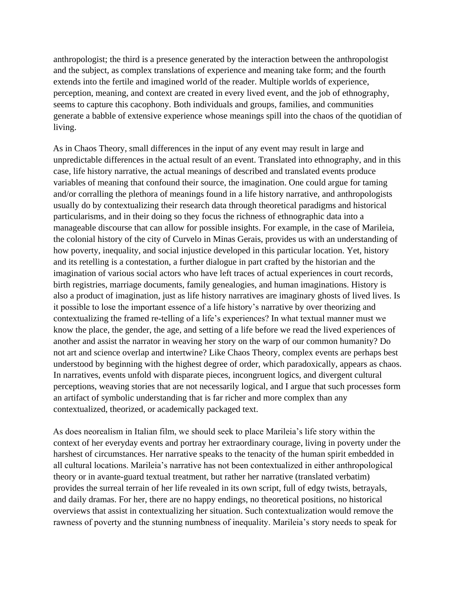anthropologist; the third is a presence generated by the interaction between the anthropologist and the subject, as complex translations of experience and meaning take form; and the fourth extends into the fertile and imagined world of the reader. Multiple worlds of experience, perception, meaning, and context are created in every lived event, and the job of ethnography, seems to capture this cacophony. Both individuals and groups, families, and communities generate a babble of extensive experience whose meanings spill into the chaos of the quotidian of living.

As in Chaos Theory, small differences in the input of any event may result in large and unpredictable differences in the actual result of an event. Translated into ethnography, and in this case, life history narrative, the actual meanings of described and translated events produce variables of meaning that confound their source, the imagination. One could argue for taming and/or corralling the plethora of meanings found in a life history narrative, and anthropologists usually do by contextualizing their research data through theoretical paradigms and historical particularisms, and in their doing so they focus the richness of ethnographic data into a manageable discourse that can allow for possible insights. For example, in the case of Marileia, the colonial history of the city of Curvelo in Minas Gerais, provides us with an understanding of how poverty, inequality, and social injustice developed in this particular location. Yet, history and its retelling is a contestation, a further dialogue in part crafted by the historian and the imagination of various social actors who have left traces of actual experiences in court records, birth registries, marriage documents, family genealogies, and human imaginations. History is also a product of imagination, just as life history narratives are imaginary ghosts of lived lives. Is it possible to lose the important essence of a life history's narrative by over theorizing and contextualizing the framed re-telling of a life's experiences? In what textual manner must we know the place, the gender, the age, and setting of a life before we read the lived experiences of another and assist the narrator in weaving her story on the warp of our common humanity? Do not art and science overlap and intertwine? Like Chaos Theory, complex events are perhaps best understood by beginning with the highest degree of order, which paradoxically, appears as chaos. In narratives, events unfold with disparate pieces, incongruent logics, and divergent cultural perceptions, weaving stories that are not necessarily logical, and I argue that such processes form an artifact of symbolic understanding that is far richer and more complex than any contextualized, theorized, or academically packaged text.

As does neorealism in Italian film, we should seek to place Marileia's life story within the context of her everyday events and portray her extraordinary courage, living in poverty under the harshest of circumstances. Her narrative speaks to the tenacity of the human spirit embedded in all cultural locations. Marileia's narrative has not been contextualized in either anthropological theory or in avante-guard textual treatment, but rather her narrative (translated verbatim) provides the surreal terrain of her life revealed in its own script, full of edgy twists, betrayals, and daily dramas. For her, there are no happy endings, no theoretical positions, no historical overviews that assist in contextualizing her situation. Such contextualization would remove the rawness of poverty and the stunning numbness of inequality. Marileia's story needs to speak for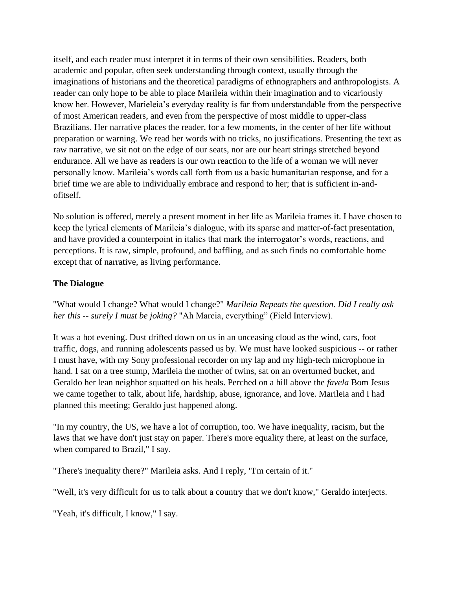itself, and each reader must interpret it in terms of their own sensibilities. Readers, both academic and popular, often seek understanding through context, usually through the imaginations of historians and the theoretical paradigms of ethnographers and anthropologists. A reader can only hope to be able to place Marileia within their imagination and to vicariously know her. However, Marieleia's everyday reality is far from understandable from the perspective of most American readers, and even from the perspective of most middle to upper-class Brazilians. Her narrative places the reader, for a few moments, in the center of her life without preparation or warning. We read her words with no tricks, no justifications. Presenting the text as raw narrative, we sit not on the edge of our seats, nor are our heart strings stretched beyond endurance. All we have as readers is our own reaction to the life of a woman we will never personally know. Marileia's words call forth from us a basic humanitarian response, and for a brief time we are able to individually embrace and respond to her; that is sufficient in-andofitself.

No solution is offered, merely a present moment in her life as Marileia frames it. I have chosen to keep the lyrical elements of Marileia's dialogue, with its sparse and matter-of-fact presentation, and have provided a counterpoint in italics that mark the interrogator's words, reactions, and perceptions. It is raw, simple, profound, and baffling, and as such finds no comfortable home except that of narrative, as living performance.

## **The Dialogue**

"What would I change? What would I change?" *Marileia Repeats the question. Did I really ask her this -- surely I must be joking?* "Ah Marcia, everything" (Field Interview).

It was a hot evening. Dust drifted down on us in an unceasing cloud as the wind, cars, foot traffic, dogs, and running adolescents passed us by. We must have looked suspicious -- or rather I must have, with my Sony professional recorder on my lap and my high-tech microphone in hand. I sat on a tree stump, Marileia the mother of twins, sat on an overturned bucket, and Geraldo her lean neighbor squatted on his heals. Perched on a hill above the *favela* Bom Jesus we came together to talk, about life, hardship, abuse, ignorance, and love. Marileia and I had planned this meeting; Geraldo just happened along.

"In my country, the US, we have a lot of corruption, too. We have inequality, racism, but the laws that we have don't just stay on paper. There's more equality there, at least on the surface, when compared to Brazil," I say.

"There's inequality there?" Marileia asks. And I reply, "I'm certain of it."

"Well, it's very difficult for us to talk about a country that we don't know," Geraldo interjects.

"Yeah, it's difficult, I know," I say.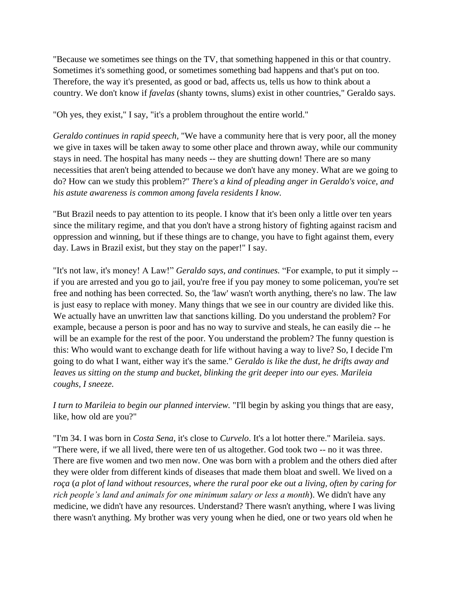"Because we sometimes see things on the TV, that something happened in this or that country. Sometimes it's something good, or sometimes something bad happens and that's put on too. Therefore, the way it's presented, as good or bad, affects us, tells us how to think about a country. We don't know if *favelas* (shanty towns, slums) exist in other countries," Geraldo says.

"Oh yes, they exist," I say, "it's a problem throughout the entire world."

*Geraldo continues in rapid speech,* "We have a community here that is very poor, all the money we give in taxes will be taken away to some other place and thrown away, while our community stays in need. The hospital has many needs -- they are shutting down! There are so many necessities that aren't being attended to because we don't have any money. What are we going to do? How can we study this problem?" *There's a kind of pleading anger in Geraldo's voice, and his astute awareness is common among favela residents I know.*

"But Brazil needs to pay attention to its people. I know that it's been only a little over ten years since the military regime, and that you don't have a strong history of fighting against racism and oppression and winning, but if these things are to change, you have to fight against them, every day. Laws in Brazil exist, but they stay on the paper!" I say.

"It's not law, it's money! A Law!" *Geraldo says, and continues.* "For example, to put it simply - if you are arrested and you go to jail, you're free if you pay money to some policeman, you're set free and nothing has been corrected. So, the 'law' wasn't worth anything, there's no law. The law is just easy to replace with money. Many things that we see in our country are divided like this. We actually have an unwritten law that sanctions killing. Do you understand the problem? For example, because a person is poor and has no way to survive and steals, he can easily die -- he will be an example for the rest of the poor. You understand the problem? The funny question is this: Who would want to exchange death for life without having a way to live? So, I decide I'm going to do what I want, either way it's the same." *Geraldo is like the dust, he drifts away and leaves us sitting on the stump and bucket, blinking the grit deeper into our eyes. Marileia coughs, I sneeze.*

*I turn to Marileia to begin our planned interview.* "I'll begin by asking you things that are easy, like, how old are you?"

"I'm 34. I was born in *Costa Sena*, it's close to *Curvelo*. It's a lot hotter there." Marileia. says. "There were, if we all lived, there were ten of us altogether. God took two -- no it was three. There are five women and two men now. One was born with a problem and the others died after they were older from different kinds of diseases that made them bloat and swell. We lived on a *roça* (*a plot of land without resources, where the rural poor eke out a living, often by caring for rich people's land and animals for one minimum salary or less a month*). We didn't have any medicine, we didn't have any resources. Understand? There wasn't anything, where I was living there wasn't anything. My brother was very young when he died, one or two years old when he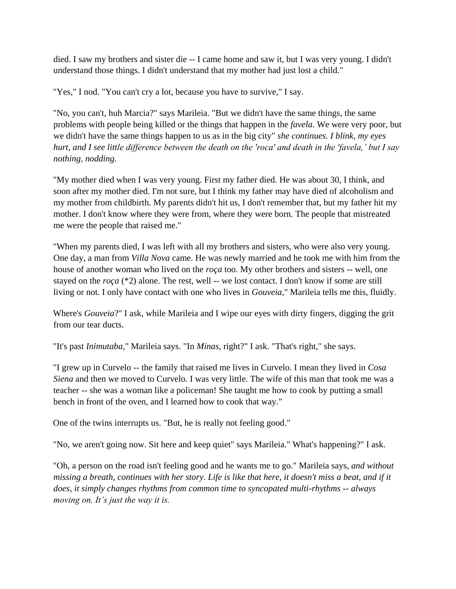died. I saw my brothers and sister die -- I came home and saw it, but I was very young. I didn't understand those things. I didn't understand that my mother had just lost a child."

"Yes," I nod. "You can't cry a lot, because you have to survive," I say.

"No, you can't, huh Marcia?" says Marileia. "But we didn't have the same things, the same problems with people being killed or the things that happen in the *favela*. We were very poor, but we didn't have the same things happen to us as in the big city" *she continues. I blink, my eyes hurt, and I see little difference between the death on the 'roca' and death in the 'favela,' but I say nothing, nodding.*

"My mother died when I was very young. First my father died. He was about 30, I think, and soon after my mother died. I'm not sure, but I think my father may have died of alcoholism and my mother from childbirth. My parents didn't hit us, I don't remember that, but my father hit my mother. I don't know where they were from, where they were born. The people that mistreated me were the people that raised me."

"When my parents died, I was left with all my brothers and sisters, who were also very young. One day, a man from *Villa Nova* came. He was newly married and he took me with him from the house of another woman who lived on the *roça* too. My other brothers and sisters -- well, one stayed on the *roça* (\*2) alone. The rest, well -- we lost contact. I don't know if some are still living or not. I only have contact with one who lives in *Gouveia*," Marileia tells me this, fluidly.

Where's *Gouveia*?" I ask, while Marileia and I wipe our eyes with dirty fingers, digging the grit from our tear ducts.

"It's past *Inimutaba*," Marileia says. "In *Minas*, right?" I ask. "That's right," she says.

"I grew up in Curvelo -- the family that raised me lives in Curvelo. I mean they lived in *Cosa Siena* and then we moved to Curvelo. I was very little. The wife of this man that took me was a teacher -- she was a woman like a policeman! She taught me how to cook by putting a small bench in front of the oven, and I learned how to cook that way."

One of the twins interrupts us. "But, he is really not feeling good."

"No, we aren't going now. Sit here and keep quiet" says Marileia." What's happening?" I ask.

"Oh, a person on the road isn't feeling good and he wants me to go." Marileia says, *and without missing a breath, continues with her story. Life is like that here, it doesn't miss a beat, and if it does, it simply changes rhythms from common time to syncopated multi-rhythms -- always moving on. It's just the way it is.*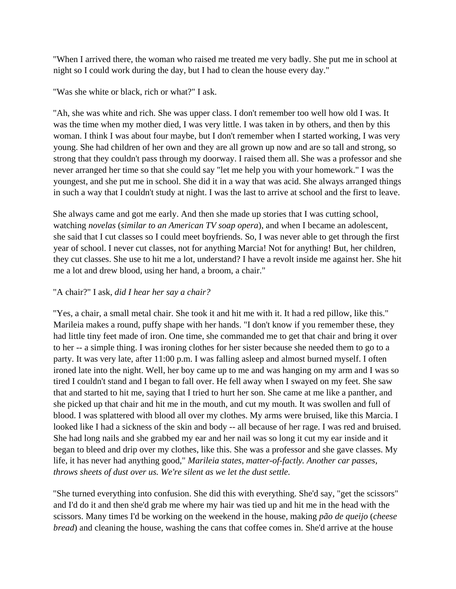"When I arrived there, the woman who raised me treated me very badly. She put me in school at night so I could work during the day, but I had to clean the house every day."

"Was she white or black, rich or what?" I ask.

"Ah, she was white and rich. She was upper class. I don't remember too well how old I was. It was the time when my mother died, I was very little. I was taken in by others, and then by this woman. I think I was about four maybe, but I don't remember when I started working, I was very young. She had children of her own and they are all grown up now and are so tall and strong, so strong that they couldn't pass through my doorway. I raised them all. She was a professor and she never arranged her time so that she could say "let me help you with your homework." I was the youngest, and she put me in school. She did it in a way that was acid. She always arranged things in such a way that I couldn't study at night. I was the last to arrive at school and the first to leave.

She always came and got me early. And then she made up stories that I was cutting school, watching *novelas* (*similar to an American TV soap opera*), and when I became an adolescent, she said that I cut classes so I could meet boyfriends. So, I was never able to get through the first year of school. I never cut classes, not for anything Marcia! Not for anything! But, her children, they cut classes. She use to hit me a lot, understand? I have a revolt inside me against her. She hit me a lot and drew blood, using her hand, a broom, a chair."

# "A chair?" I ask, *did I hear her say a chair?*

"Yes, a chair, a small metal chair. She took it and hit me with it. It had a red pillow, like this." Marileia makes a round, puffy shape with her hands. "I don't know if you remember these, they had little tiny feet made of iron. One time, she commanded me to get that chair and bring it over to her -- a simple thing. I was ironing clothes for her sister because she needed them to go to a party. It was very late, after 11:00 p.m. I was falling asleep and almost burned myself. I often ironed late into the night. Well, her boy came up to me and was hanging on my arm and I was so tired I couldn't stand and I began to fall over. He fell away when I swayed on my feet. She saw that and started to hit me, saying that I tried to hurt her son. She came at me like a panther, and she picked up that chair and hit me in the mouth, and cut my mouth. It was swollen and full of blood. I was splattered with blood all over my clothes. My arms were bruised, like this Marcia. I looked like I had a sickness of the skin and body -- all because of her rage. I was red and bruised. She had long nails and she grabbed my ear and her nail was so long it cut my ear inside and it began to bleed and drip over my clothes, like this. She was a professor and she gave classes. My life, it has never had anything good," *Marileia states, matter-of-factly. Another car passes, throws sheets of dust over us. We're silent as we let the dust settle.*

"She turned everything into confusion. She did this with everything. She'd say, "get the scissors" and I'd do it and then she'd grab me where my hair was tied up and hit me in the head with the scissors. Many times I'd be working on the weekend in the house, making *pão de queijo* (*cheese bread*) and cleaning the house, washing the cans that coffee comes in. She'd arrive at the house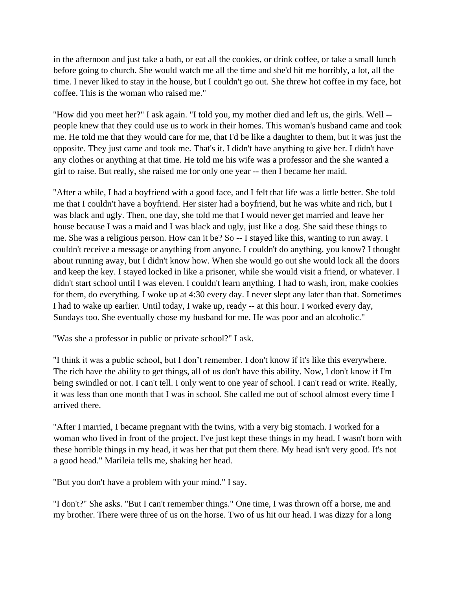in the afternoon and just take a bath, or eat all the cookies, or drink coffee, or take a small lunch before going to church. She would watch me all the time and she'd hit me horribly, a lot, all the time. I never liked to stay in the house, but I couldn't go out. She threw hot coffee in my face, hot coffee. This is the woman who raised me."

"How did you meet her?" I ask again. "I told you, my mother died and left us, the girls. Well - people knew that they could use us to work in their homes. This woman's husband came and took me. He told me that they would care for me, that I'd be like a daughter to them, but it was just the opposite. They just came and took me. That's it. I didn't have anything to give her. I didn't have any clothes or anything at that time. He told me his wife was a professor and the she wanted a girl to raise. But really, she raised me for only one year -- then I became her maid.

"After a while, I had a boyfriend with a good face, and I felt that life was a little better. She told me that I couldn't have a boyfriend. Her sister had a boyfriend, but he was white and rich, but I was black and ugly. Then, one day, she told me that I would never get married and leave her house because I was a maid and I was black and ugly, just like a dog. She said these things to me. She was a religious person. How can it be? So -- I stayed like this, wanting to run away. I couldn't receive a message or anything from anyone. I couldn't do anything, you know? I thought about running away, but I didn't know how. When she would go out she would lock all the doors and keep the key. I stayed locked in like a prisoner, while she would visit a friend, or whatever. I didn't start school until I was eleven. I couldn't learn anything. I had to wash, iron, make cookies for them, do everything. I woke up at 4:30 every day. I never slept any later than that. Sometimes I had to wake up earlier. Until today, I wake up, ready -- at this hour. I worked every day, Sundays too. She eventually chose my husband for me. He was poor and an alcoholic."

"Was she a professor in public or private school?" I ask.

"I think it was a public school, but I don't remember. I don't know if it's like this everywhere. The rich have the ability to get things, all of us don't have this ability. Now, I don't know if I'm being swindled or not. I can't tell. I only went to one year of school. I can't read or write. Really, it was less than one month that I was in school. She called me out of school almost every time I arrived there.

"After I married, I became pregnant with the twins, with a very big stomach. I worked for a woman who lived in front of the project. I've just kept these things in my head. I wasn't born with these horrible things in my head, it was her that put them there. My head isn't very good. It's not a good head." Marileia tells me, shaking her head.

"But you don't have a problem with your mind." I say.

"I don't?" She asks. "But I can't remember things." One time, I was thrown off a horse, me and my brother. There were three of us on the horse. Two of us hit our head. I was dizzy for a long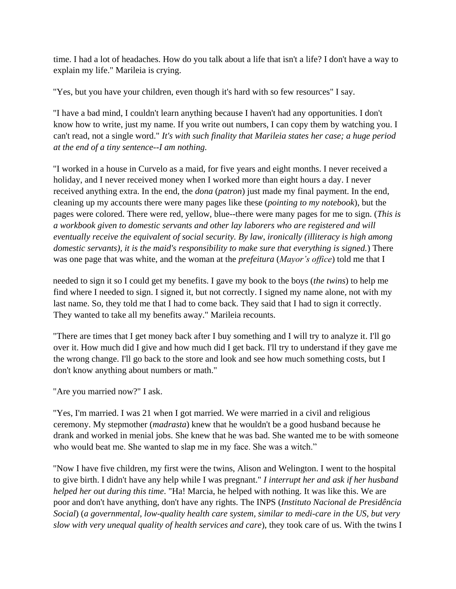time. I had a lot of headaches. How do you talk about a life that isn't a life? I don't have a way to explain my life." Marileia is crying.

"Yes, but you have your children, even though it's hard with so few resources" I say.

"I have a bad mind, I couldn't learn anything because I haven't had any opportunities. I don't know how to write, just my name. If you write out numbers, I can copy them by watching you. I can't read, not a single word." *It's with such finality that Marileia states her case; a huge period at the end of a tiny sentence--I am nothing.*

"I worked in a house in Curvelo as a maid, for five years and eight months. I never received a holiday, and I never received money when I worked more than eight hours a day. I never received anything extra. In the end, the *dona* (*patron*) just made my final payment. In the end, cleaning up my accounts there were many pages like these (*pointing to my notebook*), but the pages were colored. There were red, yellow, blue--there were many pages for me to sign. (*This is a workbook given to domestic servants and other lay laborers who are registered and will eventually receive the equivalent of social security. By law, ironically (illiteracy is high among domestic servants), it is the maid's responsibility to make sure that everything is signed.*) There was one page that was white, and the woman at the *prefeitura* (*Mayor's office*) told me that I

needed to sign it so I could get my benefits. I gave my book to the boys (*the twins*) to help me find where I needed to sign. I signed it, but not correctly. I signed my name alone, not with my last name. So, they told me that I had to come back. They said that I had to sign it correctly. They wanted to take all my benefits away." Marileia recounts.

"There are times that I get money back after I buy something and I will try to analyze it. I'll go over it. How much did I give and how much did I get back. I'll try to understand if they gave me the wrong change. I'll go back to the store and look and see how much something costs, but I don't know anything about numbers or math."

"Are you married now?" I ask.

"Yes, I'm married. I was 21 when I got married. We were married in a civil and religious ceremony. My stepmother (*madrasta*) knew that he wouldn't be a good husband because he drank and worked in menial jobs. She knew that he was bad. She wanted me to be with someone who would beat me. She wanted to slap me in my face. She was a witch."

"Now I have five children, my first were the twins, Alison and Welington. I went to the hospital to give birth. I didn't have any help while I was pregnant." *I interrupt her and ask if her husband helped her out during this time*. "Ha! Marcia, he helped with nothing. It was like this. We are poor and don't have anything, don't have any rights. The INPS (*Instituto Nacional de Presidência Social*) (*a governmental, low-quality health care system, similar to medi-care in the US, but very slow with very unequal quality of health services and care*), they took care of us. With the twins I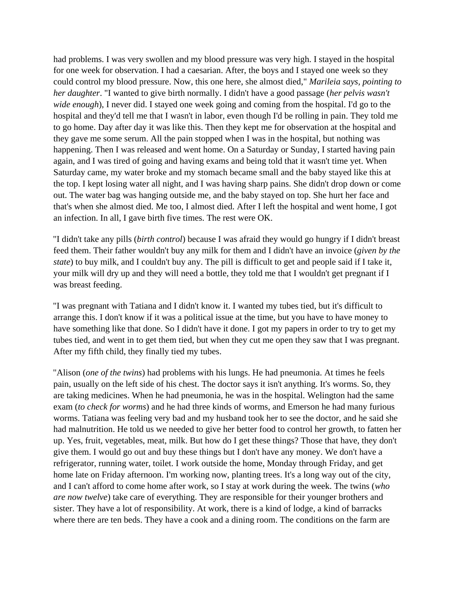had problems. I was very swollen and my blood pressure was very high. I stayed in the hospital for one week for observation. I had a caesarian. After, the boys and I stayed one week so they could control my blood pressure. Now, this one here, she almost died," *Marileia says, pointing to her daughter*. "I wanted to give birth normally. I didn't have a good passage (*her pelvis wasn't wide enough*), I never did. I stayed one week going and coming from the hospital. I'd go to the hospital and they'd tell me that I wasn't in labor, even though I'd be rolling in pain. They told me to go home. Day after day it was like this. Then they kept me for observation at the hospital and they gave me some serum. All the pain stopped when I was in the hospital, but nothing was happening. Then I was released and went home. On a Saturday or Sunday, I started having pain again, and I was tired of going and having exams and being told that it wasn't time yet. When Saturday came, my water broke and my stomach became small and the baby stayed like this at the top. I kept losing water all night, and I was having sharp pains. She didn't drop down or come out. The water bag was hanging outside me, and the baby stayed on top. She hurt her face and that's when she almost died. Me too, I almost died. After I left the hospital and went home, I got an infection. In all, I gave birth five times. The rest were OK.

"I didn't take any pills (*birth control*) because I was afraid they would go hungry if I didn't breast feed them. Their father wouldn't buy any milk for them and I didn't have an invoice (*given by the state*) to buy milk, and I couldn't buy any. The pill is difficult to get and people said if I take it, your milk will dry up and they will need a bottle, they told me that I wouldn't get pregnant if I was breast feeding.

"I was pregnant with Tatiana and I didn't know it. I wanted my tubes tied, but it's difficult to arrange this. I don't know if it was a political issue at the time, but you have to have money to have something like that done. So I didn't have it done. I got my papers in order to try to get my tubes tied, and went in to get them tied, but when they cut me open they saw that I was pregnant. After my fifth child, they finally tied my tubes.

"Alison (*one of the twins*) had problems with his lungs. He had pneumonia. At times he feels pain, usually on the left side of his chest. The doctor says it isn't anything. It's worms. So, they are taking medicines. When he had pneumonia, he was in the hospital. Welington had the same exam (*to check for worms*) and he had three kinds of worms, and Emerson he had many furious worms. Tatiana was feeling very bad and my husband took her to see the doctor, and he said she had malnutrition. He told us we needed to give her better food to control her growth, to fatten her up. Yes, fruit, vegetables, meat, milk. But how do I get these things? Those that have, they don't give them. I would go out and buy these things but I don't have any money. We don't have a refrigerator, running water, toilet. I work outside the home, Monday through Friday, and get home late on Friday afternoon. I'm working now, planting trees. It's a long way out of the city, and I can't afford to come home after work, so I stay at work during the week. The twins (*who are now twelve*) take care of everything. They are responsible for their younger brothers and sister. They have a lot of responsibility. At work, there is a kind of lodge, a kind of barracks where there are ten beds. They have a cook and a dining room. The conditions on the farm are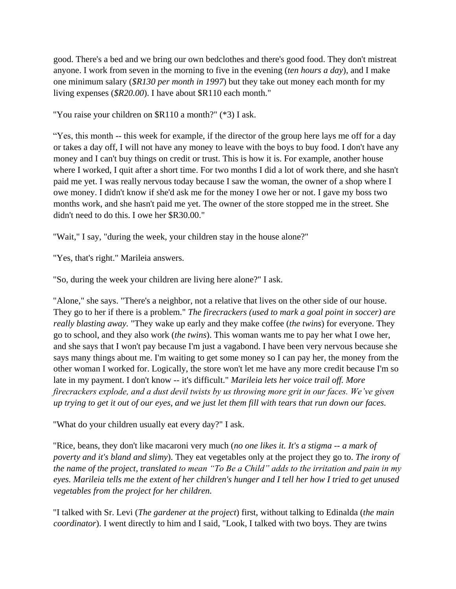good. There's a bed and we bring our own bedclothes and there's good food. They don't mistreat anyone. I work from seven in the morning to five in the evening (*ten hours a day*), and I make one minimum salary (*\$R130 per month in 1997*) but they take out money each month for my living expenses (*\$R20.00*). I have about \$R110 each month."

"You raise your children on \$R110 a month?" (\*3) I ask.

"Yes, this month -- this week for example, if the director of the group here lays me off for a day or takes a day off, I will not have any money to leave with the boys to buy food. I don't have any money and I can't buy things on credit or trust. This is how it is. For example, another house where I worked, I quit after a short time. For two months I did a lot of work there, and she hasn't paid me yet. I was really nervous today because I saw the woman, the owner of a shop where I owe money. I didn't know if she'd ask me for the money I owe her or not. I gave my boss two months work, and she hasn't paid me yet. The owner of the store stopped me in the street. She didn't need to do this. I owe her \$R30.00."

"Wait," I say, "during the week, your children stay in the house alone?"

"Yes, that's right." Marileia answers.

"So, during the week your children are living here alone?" I ask.

"Alone," she says. "There's a neighbor, not a relative that lives on the other side of our house. They go to her if there is a problem." *The firecrackers (used to mark a goal point in soccer) are really blasting away.* "They wake up early and they make coffee (*the twins*) for everyone. They go to school, and they also work (*the twins*). This woman wants me to pay her what I owe her, and she says that I won't pay because I'm just a vagabond. I have been very nervous because she says many things about me. I'm waiting to get some money so I can pay her, the money from the other woman I worked for. Logically, the store won't let me have any more credit because I'm so late in my payment. I don't know -- it's difficult." *Marileia lets her voice trail off. More firecrackers explode, and a dust devil twists by us throwing more grit in our faces. We've given up trying to get it out of our eyes, and we just let them fill with tears that run down our faces.*

"What do your children usually eat every day?" I ask.

"Rice, beans, they don't like macaroni very much (*no one likes it. It's a stigma -- a mark of poverty and it's bland and slimy*). They eat vegetables only at the project they go to. *The irony of the name of the project, translated to mean "To Be a Child" adds to the irritation and pain in my eyes. Marileia tells me the extent of her children's hunger and I tell her how I tried to get unused vegetables from the project for her children.*

"I talked with Sr. Levi (*The gardener at the project*) first, without talking to Edinalda (*the main coordinator*). I went directly to him and I said, "Look, I talked with two boys. They are twins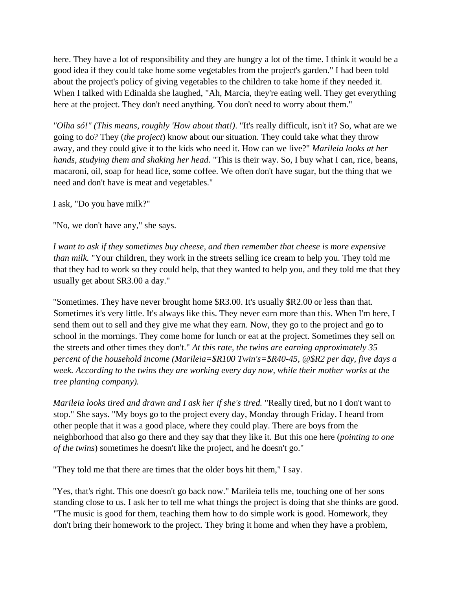here. They have a lot of responsibility and they are hungry a lot of the time. I think it would be a good idea if they could take home some vegetables from the project's garden." I had been told about the project's policy of giving vegetables to the children to take home if they needed it. When I talked with Edinalda she laughed, "Ah, Marcia, they're eating well. They get everything here at the project. They don't need anything. You don't need to worry about them."

*"Olha só!" (This means, roughly 'How about that!)*. "It's really difficult, isn't it? So, what are we going to do? They (*the project*) know about our situation. They could take what they throw away, and they could give it to the kids who need it. How can we live?" *Marileia looks at her hands, studying them and shaking her head.* "This is their way. So, I buy what I can, rice, beans, macaroni, oil, soap for head lice, some coffee. We often don't have sugar, but the thing that we need and don't have is meat and vegetables."

I ask, "Do you have milk?"

"No, we don't have any," she says.

*I want to ask if they sometimes buy cheese, and then remember that cheese is more expensive than milk.* "Your children, they work in the streets selling ice cream to help you. They told me that they had to work so they could help, that they wanted to help you, and they told me that they usually get about \$R3.00 a day."

"Sometimes. They have never brought home \$R3.00. It's usually \$R2.00 or less than that. Sometimes it's very little. It's always like this. They never earn more than this. When I'm here, I send them out to sell and they give me what they earn. Now, they go to the project and go to school in the mornings. They come home for lunch or eat at the project. Sometimes they sell on the streets and other times they don't." *At this rate, the twins are earning approximately 35 percent of the household income (Marileia=\$R100 Twin's=\$R40-45, @\$R2 per day, five days a week. According to the twins they are working every day now, while their mother works at the tree planting company).*

*Marileia looks tired and drawn and I ask her if she's tired.* "Really tired, but no I don't want to stop." She says. "My boys go to the project every day, Monday through Friday. I heard from other people that it was a good place, where they could play. There are boys from the neighborhood that also go there and they say that they like it. But this one here (*pointing to one of the twins*) sometimes he doesn't like the project, and he doesn't go."

"They told me that there are times that the older boys hit them," I say.

"Yes, that's right. This one doesn't go back now." Marileia tells me, touching one of her sons standing close to us. I ask her to tell me what things the project is doing that she thinks are good. "The music is good for them, teaching them how to do simple work is good. Homework, they don't bring their homework to the project. They bring it home and when they have a problem,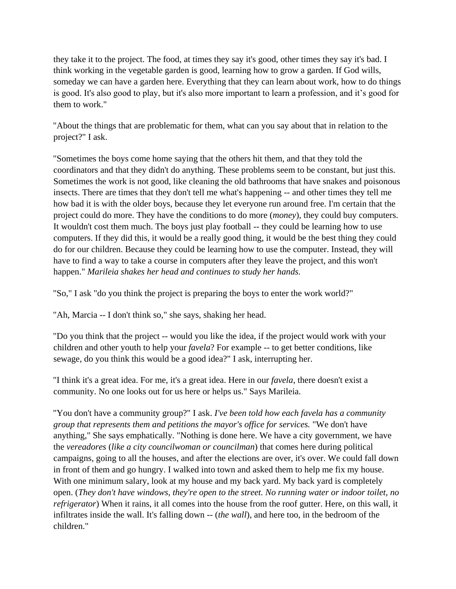they take it to the project. The food, at times they say it's good, other times they say it's bad. I think working in the vegetable garden is good, learning how to grow a garden. If God wills, someday we can have a garden here. Everything that they can learn about work, how to do things is good. It's also good to play, but it's also more important to learn a profession, and it's good for them to work."

"About the things that are problematic for them, what can you say about that in relation to the project?" I ask.

"Sometimes the boys come home saying that the others hit them, and that they told the coordinators and that they didn't do anything. These problems seem to be constant, but just this. Sometimes the work is not good, like cleaning the old bathrooms that have snakes and poisonous insects. There are times that they don't tell me what's happening -- and other times they tell me how bad it is with the older boys, because they let everyone run around free. I'm certain that the project could do more. They have the conditions to do more (*money*), they could buy computers. It wouldn't cost them much. The boys just play football -- they could be learning how to use computers. If they did this, it would be a really good thing, it would be the best thing they could do for our children. Because they could be learning how to use the computer. Instead, they will have to find a way to take a course in computers after they leave the project, and this won't happen." *Marileia shakes her head and continues to study her hands.*

"So," I ask "do you think the project is preparing the boys to enter the work world?"

"Ah, Marcia -- I don't think so," she says, shaking her head.

"Do you think that the project -- would you like the idea, if the project would work with your children and other youth to help your *favela*? For example -- to get better conditions, like sewage, do you think this would be a good idea?" I ask, interrupting her.

"I think it's a great idea. For me, it's a great idea. Here in our *favela*, there doesn't exist a community. No one looks out for us here or helps us." Says Marileia.

"You don't have a community group?" I ask. *I've been told how each favela has a community group that represents them and petitions the mayor's office for services.* "We don't have anything," She says emphatically. "Nothing is done here. We have a city government, we have the *vereadores* (*like a city councilwoman or councilman*) that comes here during political campaigns, going to all the houses, and after the elections are over, it's over. We could fall down in front of them and go hungry. I walked into town and asked them to help me fix my house. With one minimum salary, look at my house and my back yard. My back yard is completely open. (*They don't have windows, they're open to the street. No running water or indoor toilet, no refrigerator*) When it rains, it all comes into the house from the roof gutter. Here, on this wall, it infiltrates inside the wall. It's falling down -- (*the wall*), and here too, in the bedroom of the children."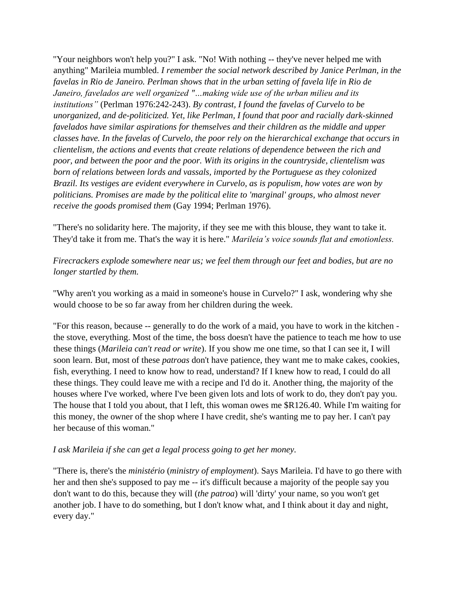"Your neighbors won't help you?" I ask. "No! With nothing -- they've never helped me with anything" Marileia mumbled. *I remember the social network described by Janice Perlman, in the favelas in Rio de Janeiro. Perlman shows that in the urban setting of favela life in Rio de Janeiro, favelados are well organized "…making wide use of the urban milieu and its institutions"* (Perlman 1976:242-243). *By contrast, I found the favelas of Curvelo to be unorganized, and de-politicized. Yet, like Perlman, I found that poor and racially dark-skinned favelados have similar aspirations for themselves and their children as the middle and upper classes have. In the favelas of Curvelo, the poor rely on the hierarchical exchange that occurs in clientelism, the actions and events that create relations of dependence between the rich and poor, and between the poor and the poor. With its origins in the countryside, clientelism was born of relations between lords and vassals, imported by the Portuguese as they colonized Brazil. Its vestiges are evident everywhere in Curvelo, as is populism, how votes are won by politicians. Promises are made by the political elite to 'marginal' groups, who almost never receive the goods promised them* (Gay 1994; Perlman 1976).

"There's no solidarity here. The majority, if they see me with this blouse, they want to take it. They'd take it from me. That's the way it is here." *Marileia's voice sounds flat and emotionless.* 

## *Firecrackers explode somewhere near us; we feel them through our feet and bodies, but are no longer startled by them.*

"Why aren't you working as a maid in someone's house in Curvelo?" I ask, wondering why she would choose to be so far away from her children during the week.

"For this reason, because -- generally to do the work of a maid, you have to work in the kitchen the stove, everything. Most of the time, the boss doesn't have the patience to teach me how to use these things (*Marileia can't read or write*). If you show me one time, so that I can see it, I will soon learn. But, most of these *patroas* don't have patience, they want me to make cakes, cookies, fish, everything. I need to know how to read, understand? If I knew how to read, I could do all these things. They could leave me with a recipe and I'd do it. Another thing, the majority of the houses where I've worked, where I've been given lots and lots of work to do, they don't pay you. The house that I told you about, that I left, this woman owes me \$R126.40. While I'm waiting for this money, the owner of the shop where I have credit, she's wanting me to pay her. I can't pay her because of this woman."

#### *I ask Marileia if she can get a legal process going to get her money.*

"There is, there's the *ministério* (*ministry of employment*). Says Marileia. I'd have to go there with her and then she's supposed to pay me -- it's difficult because a majority of the people say you don't want to do this, because they will (*the patroa*) will 'dirty' your name, so you won't get another job. I have to do something, but I don't know what, and I think about it day and night, every day."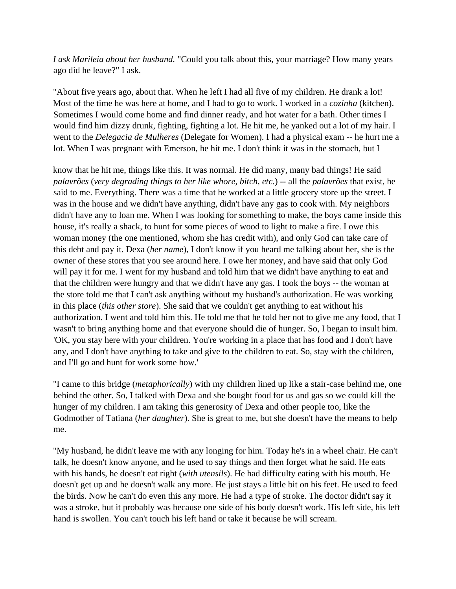*I ask Marileia about her husband.* "Could you talk about this, your marriage? How many years ago did he leave?" I ask.

"About five years ago, about that. When he left I had all five of my children. He drank a lot! Most of the time he was here at home, and I had to go to work. I worked in a *cozinha* (kitchen). Sometimes I would come home and find dinner ready, and hot water for a bath. Other times I would find him dizzy drunk, fighting, fighting a lot. He hit me, he yanked out a lot of my hair. I went to the *Delegacia de Mulheres* (Delegate for Women). I had a physical exam -- he hurt me a lot. When I was pregnant with Emerson, he hit me. I don't think it was in the stomach, but I

know that he hit me, things like this. It was normal. He did many, many bad things! He said *palavrões* (*very degrading things to her like whore, bitch, etc.*) -- all the *palavrões* that exist, he said to me. Everything. There was a time that he worked at a little grocery store up the street. I was in the house and we didn't have anything, didn't have any gas to cook with. My neighbors didn't have any to loan me. When I was looking for something to make, the boys came inside this house, it's really a shack, to hunt for some pieces of wood to light to make a fire. I owe this woman money (the one mentioned, whom she has credit with), and only God can take care of this debt and pay it. Dexa (*her name*), I don't know if you heard me talking about her, she is the owner of these stores that you see around here. I owe her money, and have said that only God will pay it for me. I went for my husband and told him that we didn't have anything to eat and that the children were hungry and that we didn't have any gas. I took the boys -- the woman at the store told me that I can't ask anything without my husband's authorization. He was working in this place (*this other store*). She said that we couldn't get anything to eat without his authorization. I went and told him this. He told me that he told her not to give me any food, that I wasn't to bring anything home and that everyone should die of hunger. So, I began to insult him. 'OK, you stay here with your children. You're working in a place that has food and I don't have any, and I don't have anything to take and give to the children to eat. So, stay with the children, and I'll go and hunt for work some how.'

"I came to this bridge (*metaphorically*) with my children lined up like a stair-case behind me, one behind the other. So, I talked with Dexa and she bought food for us and gas so we could kill the hunger of my children. I am taking this generosity of Dexa and other people too, like the Godmother of Tatiana (*her daughter*). She is great to me, but she doesn't have the means to help me.

"My husband, he didn't leave me with any longing for him. Today he's in a wheel chair. He can't talk, he doesn't know anyone, and he used to say things and then forget what he said. He eats with his hands, he doesn't eat right (*with utensils*). He had difficulty eating with his mouth. He doesn't get up and he doesn't walk any more. He just stays a little bit on his feet. He used to feed the birds. Now he can't do even this any more. He had a type of stroke. The doctor didn't say it was a stroke, but it probably was because one side of his body doesn't work. His left side, his left hand is swollen. You can't touch his left hand or take it because he will scream.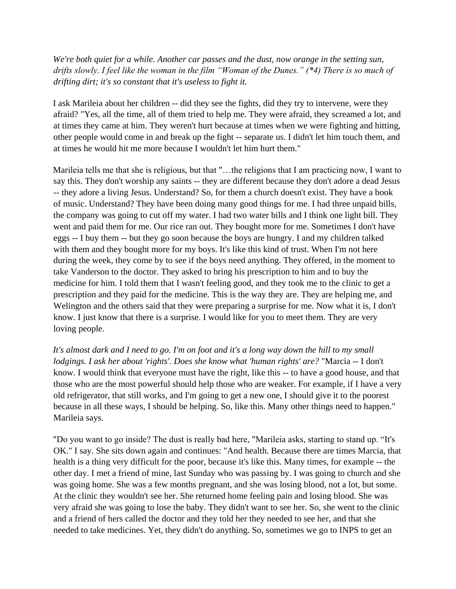*We're both quiet for a while. Another car passes and the dust, now orange in the setting sun, drifts slowly. I feel like the woman in the film "Woman of the Dunes." (\*4) There is so much of drifting dirt; it's so constant that it's useless to fight it.* 

I ask Marileia about her children -- did they see the fights, did they try to intervene, were they afraid? "Yes, all the time, all of them tried to help me. They were afraid, they screamed a lot, and at times they came at him. They weren't hurt because at times when we were fighting and hitting, other people would come in and break up the fight -- separate us. I didn't let him touch them, and at times he would hit me more because I wouldn't let him hurt them."

Marileia tells me that she is religious, but that "…the religions that I am practicing now, I want to say this. They don't worship any saints -- they are different because they don't adore a dead Jesus -- they adore a living Jesus. Understand? So, for them a church doesn't exist. They have a book of music. Understand? They have been doing many good things for me. I had three unpaid bills, the company was going to cut off my water. I had two water bills and I think one light bill. They went and paid them for me. Our rice ran out. They bought more for me. Sometimes I don't have eggs -- I buy them -- but they go soon because the boys are hungry. I and my children talked with them and they bought more for my boys. It's like this kind of trust. When I'm not here during the week, they come by to see if the boys need anything. They offered, in the moment to take Vanderson to the doctor. They asked to bring his prescription to him and to buy the medicine for him. I told them that I wasn't feeling good, and they took me to the clinic to get a prescription and they paid for the medicine. This is the way they are. They are helping me, and Welington and the others said that they were preparing a surprise for me. Now what it is, I don't know. I just know that there is a surprise. I would like for you to meet them. They are very loving people.

*It's almost dark and I need to go. I'm on foot and it's a long way down the hill to my small lodgings. I ask her about 'rights'. Does she know what 'human rights' are?* "Marcia -- I don't know. I would think that everyone must have the right, like this -- to have a good house, and that those who are the most powerful should help those who are weaker. For example, if I have a very old refrigerator, that still works, and I'm going to get a new one, I should give it to the poorest because in all these ways, I should be helping. So, like this. Many other things need to happen." Marileia says.

"Do you want to go inside? The dust is really bad here, "Marileia asks, starting to stand up. "It's OK." I say. She sits down again and continues: "And health. Because there are times Marcia, that health is a thing very difficult for the poor, because it's like this. Many times, for example -- the other day. I met a friend of mine, last Sunday who was passing by. I was going to church and she was going home. She was a few months pregnant, and she was losing blood, not a lot, but some. At the clinic they wouldn't see her. She returned home feeling pain and losing blood. She was very afraid she was going to lose the baby. They didn't want to see her. So, she went to the clinic and a friend of hers called the doctor and they told her they needed to see her, and that she needed to take medicines. Yet, they didn't do anything. So, sometimes we go to INPS to get an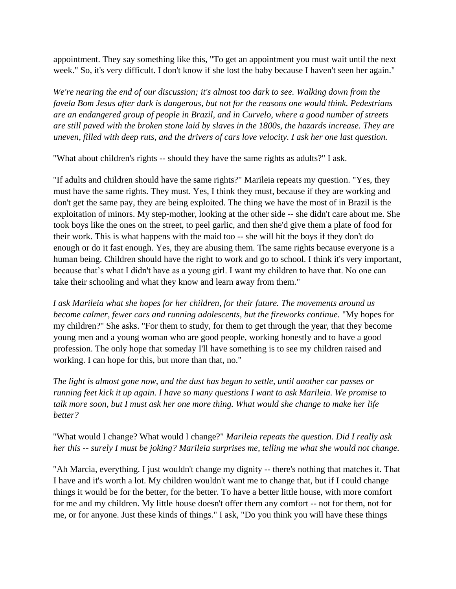appointment. They say something like this, "To get an appointment you must wait until the next week." So, it's very difficult. I don't know if she lost the baby because I haven't seen her again."

*We're nearing the end of our discussion; it's almost too dark to see. Walking down from the favela Bom Jesus after dark is dangerous, but not for the reasons one would think. Pedestrians are an endangered group of people in Brazil, and in Curvelo, where a good number of streets are still paved with the broken stone laid by slaves in the 1800s, the hazards increase. They are uneven, filled with deep ruts, and the drivers of cars love velocity. I ask her one last question.*

"What about children's rights -- should they have the same rights as adults?" I ask.

"If adults and children should have the same rights?" Marileia repeats my question. "Yes, they must have the same rights. They must. Yes, I think they must, because if they are working and don't get the same pay, they are being exploited. The thing we have the most of in Brazil is the exploitation of minors. My step-mother, looking at the other side -- she didn't care about me. She took boys like the ones on the street, to peel garlic, and then she'd give them a plate of food for their work. This is what happens with the maid too -- she will hit the boys if they don't do enough or do it fast enough. Yes, they are abusing them. The same rights because everyone is a human being. Children should have the right to work and go to school. I think it's very important, because that's what I didn't have as a young girl. I want my children to have that. No one can take their schooling and what they know and learn away from them."

*I ask Marileia what she hopes for her children, for their future. The movements around us become calmer, fewer cars and running adolescents, but the fireworks continue.* "My hopes for my children?" She asks. "For them to study, for them to get through the year, that they become young men and a young woman who are good people, working honestly and to have a good profession. The only hope that someday I'll have something is to see my children raised and working. I can hope for this, but more than that, no."

*The light is almost gone now, and the dust has begun to settle, until another car passes or running feet kick it up again. I have so many questions I want to ask Marileia. We promise to talk more soon, but I must ask her one more thing. What would she change to make her life better?*

"What would I change? What would I change?" *Marileia repeats the question. Did I really ask her this -- surely I must be joking? Marileia surprises me, telling me what she would not change.*

"Ah Marcia, everything. I just wouldn't change my dignity -- there's nothing that matches it. That I have and it's worth a lot. My children wouldn't want me to change that, but if I could change things it would be for the better, for the better. To have a better little house, with more comfort for me and my children. My little house doesn't offer them any comfort -- not for them, not for me, or for anyone. Just these kinds of things." I ask, "Do you think you will have these things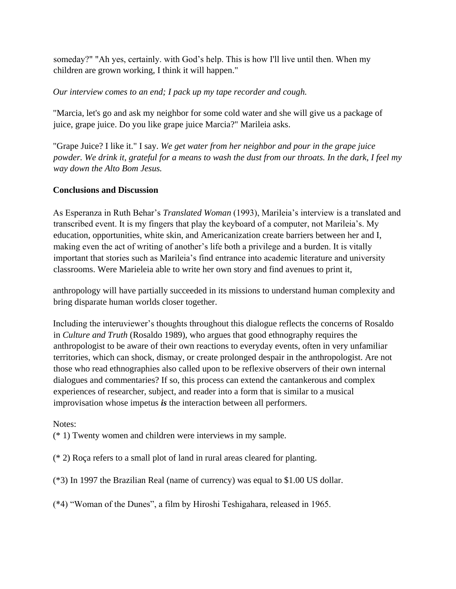someday?" "Ah yes, certainly. with God's help. This is how I'll live until then. When my children are grown working, I think it will happen."

#### *Our interview comes to an end; I pack up my tape recorder and cough.*

"Marcia, let's go and ask my neighbor for some cold water and she will give us a package of juice, grape juice. Do you like grape juice Marcia?" Marileia asks.

"Grape Juice? I like it." I say. *We get water from her neighbor and pour in the grape juice powder. We drink it, grateful for a means to wash the dust from our throats. In the dark, I feel my way down the Alto Bom Jesus.*

## **Conclusions and Discussion**

As Esperanza in Ruth Behar's *Translated Woman* (1993), Marileia's interview is a translated and transcribed event. It is my fingers that play the keyboard of a computer, not Marileia's. My education, opportunities, white skin, and Americanization create barriers between her and I, making even the act of writing of another's life both a privilege and a burden. It is vitally important that stories such as Marileia's find entrance into academic literature and university classrooms. Were Marieleia able to write her own story and find avenues to print it,

anthropology will have partially succeeded in its missions to understand human complexity and bring disparate human worlds closer together.

Including the interuviewer's thoughts throughout this dialogue reflects the concerns of Rosaldo in *Culture and Truth* (Rosaldo 1989), who argues that good ethnography requires the anthropologist to be aware of their own reactions to everyday events, often in very unfamiliar territories, which can shock, dismay, or create prolonged despair in the anthropologist. Are not those who read ethnographies also called upon to be reflexive observers of their own internal dialogues and commentaries? If so, this process can extend the cantankerous and complex experiences of researcher, subject, and reader into a form that is similar to a musical improvisation whose impetus *is* the interaction between all performers.

#### Notes:

(\* 1) Twenty women and children were interviews in my sample.

(\* 2) Roça refers to a small plot of land in rural areas cleared for planting.

(\*3) In 1997 the Brazilian Real (name of currency) was equal to \$1.00 US dollar.

(\*4) "Woman of the Dunes", a film by Hiroshi Teshigahara, released in 1965.